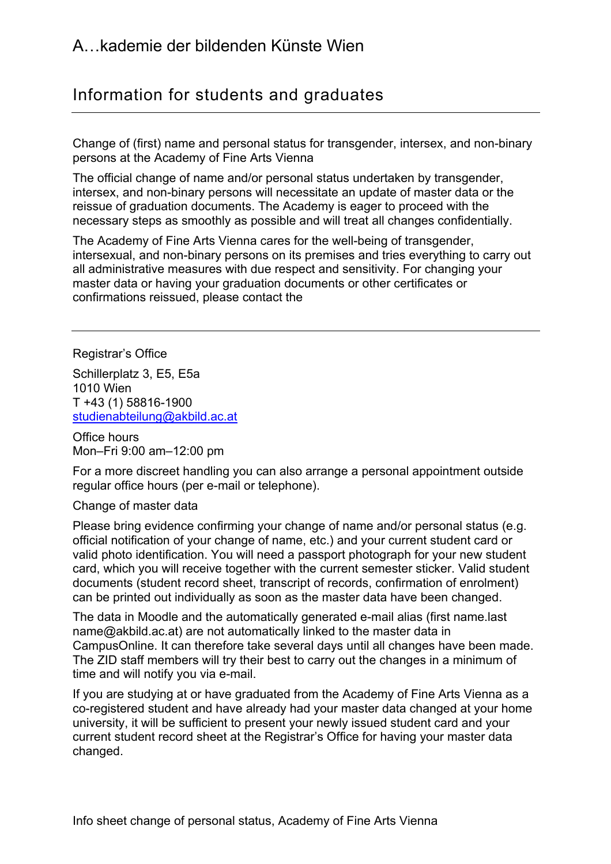## Information for students and graduates

 Change of (first) name and personal status for transgender, intersex, and non-binary persons at the Academy of Fine Arts Vienna

 The official change of name and/or personal status undertaken by transgender, intersex, and non-binary persons will necessitate an update of master data or the reissue of graduation documents. The Academy is eager to proceed with the necessary steps as smoothly as possible and will treat all changes confidentially.

 The Academy of Fine Arts Vienna cares for the well-being of transgender, intersexual, and non-binary persons on its premises and tries everything to carry out all administrative measures with due respect and sensitivity. For changing your master data or having your graduation documents or other certificates or confirmations reissued, please contact the

Registrar's Office

 Schillerplatz 3, E5, E5a T +43 (1) 58816-1900 1010 Wien [studienabteilung@akbild.ac.at](mailto:studienabteilung@akbild.ac.at)

 Office hours Mon–Fri 9:00 am–12:00 pm

 For a more discreet handling you can also arrange a personal appointment outside regular office hours (per e-mail or telephone).<br>Change of master data

#### Change of master data

 Please bring evidence confirming your change of name and/or personal status (e.g. official notification of your change of name, etc.) and your current student card or valid photo identification. You will need a passport photograph for your new student card, which you will receive together with the current semester sticker. Valid student documents (student record sheet, transcript of records, confirmation of enrolment) can be printed out individually as soon as the master data have been changed.

 The data in Moodle and the automatically generated e-mail alias (first name.last [name@akbild.ac.at\)](mailto:name@akbild.ac.at) are not automatically linked to the master data in CampusOnline. It can therefore take several days until all changes have been made. The ZID staff members will try their best to carry out the changes in a minimum of time and will notify you via e-mail.

 If you are studying at or have graduated from the Academy of Fine Arts Vienna as a co-registered student and have already had your master data changed at your home university, it will be sufficient to present your newly issued student card and your current student record sheet at the Registrar's Office for having your master data changed.